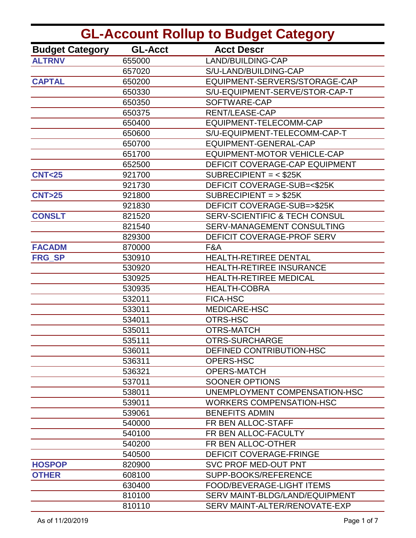| <b>GL-Account Rollup to Budget Category</b> |                |                                          |
|---------------------------------------------|----------------|------------------------------------------|
| <b>Budget Category</b>                      | <b>GL-Acct</b> | <b>Acct Descr</b>                        |
| <b>ALTRNV</b>                               | 655000         | LAND/BUILDING-CAP                        |
|                                             | 657020         | S/U-LAND/BUILDING-CAP                    |
| <b>CAPTAL</b>                               | 650200         | EQUIPMENT-SERVERS/STORAGE-CAP            |
|                                             | 650330         | S/U-EQUIPMENT-SERVE/STOR-CAP-T           |
|                                             | 650350         | SOFTWARE-CAP                             |
|                                             | 650375         | RENT/LEASE-CAP                           |
|                                             | 650400         | EQUIPMENT-TELECOMM-CAP                   |
|                                             | 650600         | S/U-EQUIPMENT-TELECOMM-CAP-T             |
|                                             | 650700         | EQUIPMENT-GENERAL-CAP                    |
|                                             | 651700         | <b>EQUIPMENT-MOTOR VEHICLE-CAP</b>       |
|                                             | 652500         | DEFICIT COVERAGE-CAP EQUIPMENT           |
| <b>CNT&lt;25</b>                            | 921700         | SUBRECIPIENT = $<$ \$25K                 |
|                                             | 921730         | DEFICIT COVERAGE-SUB=<\$25K              |
| <b>CNT&gt;25</b>                            | 921800         | $SUBRECIPIENT = > $25K$                  |
|                                             | 921830         | DEFICIT COVERAGE-SUB=>\$25K              |
| <b>CONSLT</b>                               | 821520         | <b>SERV-SCIENTIFIC &amp; TECH CONSUL</b> |
|                                             | 821540         | SERV-MANAGEMENT CONSULTING               |
|                                             | 829300         | DEFICIT COVERAGE-PROF SERV               |
| <b>FACADM</b>                               | 870000         | F&A                                      |
| <b>FRG SP</b>                               | 530910         | HEALTH-RETIREE DENTAL                    |
|                                             | 530920         | HEALTH-RETIREE INSURANCE                 |
|                                             | 530925         | <b>HEALTH-RETIREE MEDICAL</b>            |
|                                             | 530935         | <b>HEALTH-COBRA</b>                      |
|                                             | 532011         | <b>FICA-HSC</b>                          |
|                                             | 533011         | MEDICARE-HSC                             |
|                                             | 534011         | OTRS-HSC                                 |
|                                             | 535011         | <b>OTRS-MATCH</b>                        |
|                                             | 535111         | <b>OTRS-SURCHARGE</b>                    |
|                                             | 536011         | DEFINED CONTRIBUTION-HSC                 |
|                                             | 536311         | <b>OPERS-HSC</b>                         |
|                                             | 536321         | <b>OPERS-MATCH</b>                       |
|                                             | 537011         | <b>SOONER OPTIONS</b>                    |
|                                             | 538011         | UNEMPLOYMENT COMPENSATION-HSC            |
|                                             | 539011         | <b>WORKERS COMPENSATION-HSC</b>          |
|                                             | 539061         | <b>BENEFITS ADMIN</b>                    |
|                                             | 540000         | FR BEN ALLOC-STAFF                       |
|                                             | 540100         | FR BEN ALLOC-FACULTY                     |
|                                             | 540200         | FR BEN ALLOC-OTHER                       |
|                                             | 540500         | <b>DEFICIT COVERAGE-FRINGE</b>           |
| <b>HOSPOP</b>                               | 820900         | <b>SVC PROF MED-OUT PNT</b>              |
| <b>OTHER</b>                                | 608100         | SUPP-BOOKS/REFERENCE                     |
|                                             | 630400         | FOOD/BEVERAGE-LIGHT ITEMS                |
|                                             | 810100         | SERV MAINT-BLDG/LAND/EQUIPMENT           |
|                                             | 810110         | SERV MAINT-ALTER/RENOVATE-EXP            |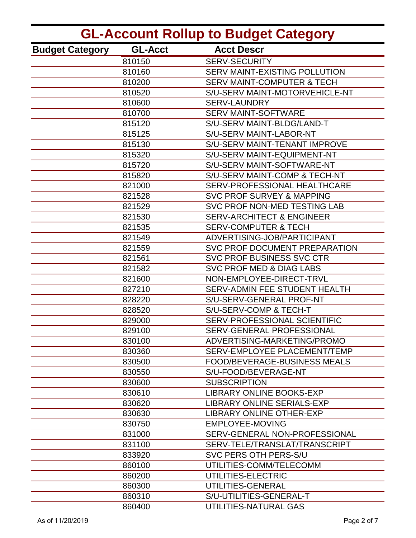| <b>GL-Account Rollup to Budget Category</b> |                |                                       |
|---------------------------------------------|----------------|---------------------------------------|
| <b>Budget Category</b>                      | <b>GL-Acct</b> | <b>Acct Descr</b>                     |
|                                             | 810150         | <b>SERV-SECURITY</b>                  |
|                                             | 810160         | SERV MAINT-EXISTING POLLUTION         |
|                                             | 810200         | <b>SERV MAINT-COMPUTER &amp; TECH</b> |
|                                             | 810520         | S/U-SERV MAINT-MOTORVEHICLE-NT        |
|                                             | 810600         | <b>SERV-LAUNDRY</b>                   |
|                                             | 810700         | <b>SERV MAINT-SOFTWARE</b>            |
|                                             | 815120         | S/U-SERV MAINT-BLDG/LAND-T            |
|                                             | 815125         | S/U-SERV MAINT-LABOR-NT               |
|                                             | 815130         | S/U-SERV MAINT-TENANT IMPROVE         |
|                                             | 815320         | S/U-SERV MAINT-EQUIPMENT-NT           |
|                                             | 815720         | S/U-SERV MAINT-SOFTWARE-NT            |
|                                             | 815820         | S/U-SERV MAINT-COMP & TECH-NT         |
|                                             | 821000         | SERV-PROFESSIONAL HEALTHCARE          |
|                                             | 821528         | <b>SVC PROF SURVEY &amp; MAPPING</b>  |
|                                             | 821529         | SVC PROF NON-MED TESTING LAB          |
|                                             | 821530         | <b>SERV-ARCHITECT &amp; ENGINEER</b>  |
|                                             | 821535         | <b>SERV-COMPUTER &amp; TECH</b>       |
|                                             | 821549         | ADVERTISING-JOB/PARTICIPANT           |
|                                             | 821559         | SVC PROF DOCUMENT PREPARATION         |
|                                             | 821561         | SVC PROF BUSINESS SVC CTR             |
|                                             | 821582         | <b>SVC PROF MED &amp; DIAG LABS</b>   |
|                                             | 821600         | NON-EMPLOYEE-DIRECT-TRVL              |
|                                             | 827210         | SERV-ADMIN FEE STUDENT HEALTH         |
|                                             | 828220         | S/U-SERV-GENERAL PROF-NT              |
|                                             | 828520         | S/U-SERV-COMP & TECH-T                |
|                                             | 829000         | SERV-PROFESSIONAL SCIENTIFIC          |
|                                             | 829100         | SERV-GENERAL PROFESSIONAL             |
|                                             | 830100         | ADVERTISING-MARKETING/PROMO           |
|                                             | 830360         | SERV-EMPLOYEE PLACEMENT/TEMP          |
|                                             | 830500         | <b>FOOD/BEVERAGE-BUSINESS MEALS</b>   |
|                                             | 830550         | S/U-FOOD/BEVERAGE-NT                  |
|                                             | 830600         | <b>SUBSCRIPTION</b>                   |
|                                             | 830610         | <b>LIBRARY ONLINE BOOKS-EXP</b>       |
|                                             | 830620         | <b>LIBRARY ONLINE SERIALS-EXP</b>     |
|                                             | 830630         | <b>LIBRARY ONLINE OTHER-EXP</b>       |
|                                             | 830750         | EMPLOYEE-MOVING                       |
|                                             | 831000         | SERV-GENERAL NON-PROFESSIONAL         |
|                                             | 831100         | SERV-TELE/TRANSLAT/TRANSCRIPT         |
|                                             | 833920         | SVC PERS OTH PERS-S/U                 |
|                                             | 860100         | UTILITIES-COMM/TELECOMM               |
|                                             | 860200         | UTILITIES-ELECTRIC                    |
|                                             | 860300         | UTILITIES-GENERAL                     |
|                                             | 860310         | S/U-UTILITIES-GENERAL-T               |
|                                             | 860400         | UTILITIES-NATURAL GAS                 |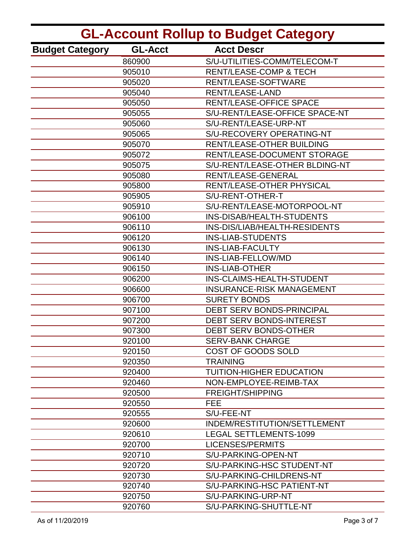| <b>GL-Account Rollup to Budget Category</b> |                |                                   |
|---------------------------------------------|----------------|-----------------------------------|
| <b>Budget Category</b>                      | <b>GL-Acct</b> | <b>Acct Descr</b>                 |
|                                             | 860900         | S/U-UTILITIES-COMM/TELECOM-T      |
|                                             | 905010         | <b>RENT/LEASE-COMP &amp; TECH</b> |
|                                             | 905020         | RENT/LEASE-SOFTWARE               |
|                                             | 905040         | <b>RENT/LEASE-LAND</b>            |
|                                             | 905050         | <b>RENT/LEASE-OFFICE SPACE</b>    |
|                                             | 905055         | S/U-RENT/LEASE-OFFICE SPACE-NT    |
|                                             | 905060         | S/U-RENT/LEASE-URP-NT             |
|                                             | 905065         | S/U-RECOVERY OPERATING-NT         |
|                                             | 905070         | <b>RENT/LEASE-OTHER BUILDING</b>  |
|                                             | 905072         | RENT/LEASE-DOCUMENT STORAGE       |
|                                             | 905075         | S/U-RENT/LEASE-OTHER BLDING-NT    |
|                                             | 905080         | <b>RENT/LEASE-GENERAL</b>         |
|                                             | 905800         | RENT/LEASE-OTHER PHYSICAL         |
|                                             | 905905         | S/U-RENT-OTHER-T                  |
|                                             | 905910         | S/U-RENT/LEASE-MOTORPOOL-NT       |
|                                             | 906100         | INS-DISAB/HEALTH-STUDENTS         |
|                                             | 906110         | INS-DIS/LIAB/HEALTH-RESIDENTS     |
|                                             | 906120         | <b>INS-LIAB-STUDENTS</b>          |
|                                             | 906130         | <b>INS-LIAB-FACULTY</b>           |
|                                             | 906140         | INS-LIAB-FELLOW/MD                |
|                                             | 906150         | <b>INS-LIAB-OTHER</b>             |
|                                             | 906200         | INS-CLAIMS-HEALTH-STUDENT         |
|                                             | 906600         | <b>INSURANCE-RISK MANAGEMENT</b>  |
|                                             | 906700         | <b>SURETY BONDS</b>               |
|                                             | 907100         | DEBT SERV BONDS-PRINCIPAL         |
|                                             | 907200         | DEBT SERV BONDS-INTEREST          |
|                                             | 907300         | DEBT SERV BONDS-OTHER             |
|                                             | 920100         | <b>SERV-BANK CHARGE</b>           |
|                                             | 920150         | COST OF GOODS SOLD                |
|                                             | 920350         | <b>TRAINING</b>                   |
|                                             | 920400         | TUITION-HIGHER EDUCATION          |
|                                             | 920460         | NON-EMPLOYEE-REIMB-TAX            |
|                                             | 920500         | <b>FREIGHT/SHIPPING</b>           |
|                                             | 920550         | <b>FEE</b>                        |
|                                             | 920555         | S/U-FEE-NT                        |
|                                             | 920600         | INDEM/RESTITUTION/SETTLEMENT      |
|                                             | 920610         | <b>LEGAL SETTLEMENTS-1099</b>     |
|                                             | 920700         | LICENSES/PERMITS                  |
|                                             | 920710         | S/U-PARKING-OPEN-NT               |
|                                             | 920720         | S/U-PARKING-HSC STUDENT-NT        |
|                                             | 920730         | S/U-PARKING-CHILDRENS-NT          |
|                                             | 920740         | S/U-PARKING-HSC PATIENT-NT        |
|                                             | 920750         | S/U-PARKING-URP-NT                |
|                                             | 920760         | S/U-PARKING-SHUTTLE-NT            |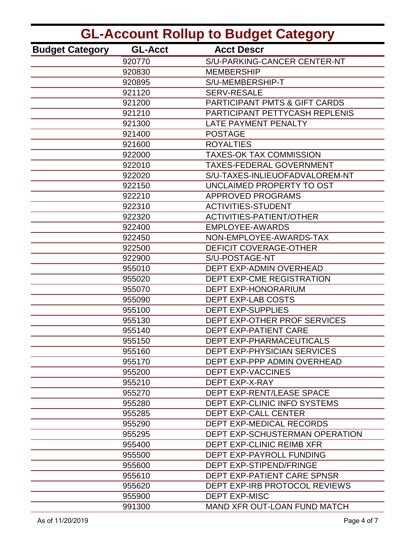| <b>GL-Account Rollup to Budget Category</b> |                |                                          |
|---------------------------------------------|----------------|------------------------------------------|
| <b>Budget Category</b>                      | <b>GL-Acct</b> | <b>Acct Descr</b>                        |
|                                             | 920770         | S/U-PARKING-CANCER CENTER-NT             |
|                                             | 920830         | <b>MEMBERSHIP</b>                        |
|                                             | 920895         | S/U-MEMBERSHIP-T                         |
|                                             | 921120         | <b>SERV-RESALE</b>                       |
|                                             | 921200         | <b>PARTICIPANT PMTS &amp; GIFT CARDS</b> |
|                                             | 921210         | PARTICIPANT PETTYCASH REPLENIS           |
|                                             | 921300         | <b>LATE PAYMENT PENALTY</b>              |
|                                             | 921400         | <b>POSTAGE</b>                           |
|                                             | 921600         | <b>ROYALTIES</b>                         |
|                                             | 922000         | <b>TAXES-OK TAX COMMISSION</b>           |
|                                             | 922010         | <b>TAXES-FEDERAL GOVERNMENT</b>          |
|                                             | 922020         | S/U-TAXES-INLIEUOFADVALOREM-NT           |
|                                             | 922150         | UNCLAIMED PROPERTY TO OST                |
|                                             | 922210         | <b>APPROVED PROGRAMS</b>                 |
|                                             | 922310         | <b>ACTIVITIES-STUDENT</b>                |
|                                             | 922320         | <b>ACTIVITIES-PATIENT/OTHER</b>          |
|                                             | 922400         | <b>EMPLOYEE-AWARDS</b>                   |
|                                             | 922450         | NON-EMPLOYEE-AWARDS-TAX                  |
|                                             | 922500         | <b>DEFICIT COVERAGE-OTHER</b>            |
|                                             | 922900         | S/U-POSTAGE-NT                           |
|                                             | 955010         | DEPT EXP-ADMIN OVERHEAD                  |
|                                             | 955020         | <b>DEPT EXP-CME REGISTRATION</b>         |
|                                             | 955070         | <b>DEPT EXP-HONORARIUM</b>               |
|                                             | 955090         | <b>DEPT EXP-LAB COSTS</b>                |
|                                             | 955100         | <b>DEPT EXP-SUPPLIES</b>                 |
|                                             | 955130         | DEPT EXP-OTHER PROF SERVICES             |
|                                             | 955140         | DEPT EXP-PATIENT CARE                    |
|                                             | 955150         | <b>DEPT EXP-PHARMACEUTICALS</b>          |
|                                             | 955160         | <b>DEPT EXP-PHYSICIAN SERVICES</b>       |
|                                             | 955170         | DEPT EXP-PPP ADMIN OVERHEAD              |
|                                             | 955200         | <b>DEPT EXP-VACCINES</b>                 |
|                                             | 955210         | DEPT EXP-X-RAY                           |
|                                             | 955270         | <b>DEPT EXP-RENT/LEASE SPACE</b>         |
|                                             | 955280         | DEPT EXP-CLINIC INFO SYSTEMS             |
|                                             | 955285         | <b>DEPT EXP-CALL CENTER</b>              |
|                                             | 955290         | <b>DEPT EXP-MEDICAL RECORDS</b>          |
|                                             | 955295         | DEPT EXP-SCHUSTERMAN OPERATION           |
|                                             | 955400         | DEPT EXP-CLINIC REIMB XFR                |
|                                             | 955500         | DEPT EXP-PAYROLL FUNDING                 |
|                                             | 955600         | <b>DEPT EXP-STIPEND/FRINGE</b>           |
|                                             | 955610         | DEPT EXP-PATIENT CARE SPNSR              |
|                                             | 955620         | DEPT EXP-IRB PROTOCOL REVIEWS            |
|                                             | 955900         | <b>DEPT EXP-MISC</b>                     |
|                                             | 991300         | <b>MAND XFR OUT-LOAN FUND MATCH</b>      |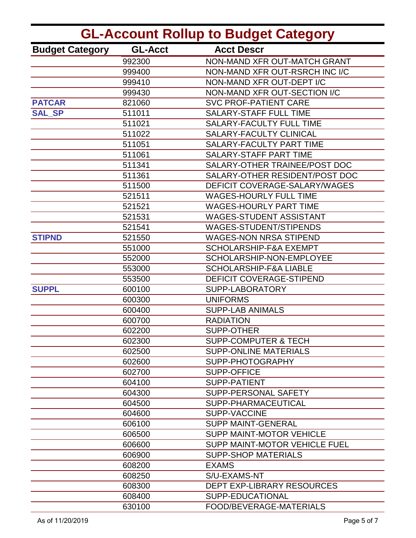| <b>GL-Account Rollup to Budget Category</b> |                |                                      |
|---------------------------------------------|----------------|--------------------------------------|
| <b>Budget Category</b>                      | <b>GL-Acct</b> | <b>Acct Descr</b>                    |
|                                             | 992300         | NON-MAND XFR OUT-MATCH GRANT         |
|                                             | 999400         | NON-MAND XFR OUT-RSRCH INC I/C       |
|                                             | 999410         | NON-MAND XFR OUT-DEPT I/C            |
|                                             | 999430         | NON-MAND XFR OUT-SECTION I/C         |
| <b>PATCAR</b>                               | 821060         | <b>SVC PROF-PATIENT CARE</b>         |
| <b>SAL SP</b>                               | 511011         | <b>SALARY-STAFF FULL TIME</b>        |
|                                             | 511021         | <b>SALARY-FACULTY FULL TIME</b>      |
|                                             | 511022         | <b>SALARY-FACULTY CLINICAL</b>       |
|                                             | 511051         | <b>SALARY-FACULTY PART TIME</b>      |
|                                             | 511061         | SALARY-STAFF PART TIME               |
|                                             | 511341         | SALARY-OTHER TRAINEE/POST DOC        |
|                                             | 511361         | SALARY-OTHER RESIDENT/POST DOC       |
|                                             | 511500         | DEFICIT COVERAGE-SALARY/WAGES        |
|                                             | 521511         | <b>WAGES-HOURLY FULL TIME</b>        |
|                                             | 521521         | <b>WAGES-HOURLY PART TIME</b>        |
|                                             | 521531         | <b>WAGES-STUDENT ASSISTANT</b>       |
|                                             | 521541         | <b>WAGES-STUDENT/STIPENDS</b>        |
| <b>STIPND</b>                               | 521550         | <b>WAGES-NON NRSA STIPEND</b>        |
|                                             | 551000         | <b>SCHOLARSHIP-F&amp;A EXEMPT</b>    |
|                                             | 552000         | SCHOLARSHIP-NON-EMPLOYEE             |
|                                             | 553000         | <b>SCHOLARSHIP-F&amp;A LIABLE</b>    |
|                                             | 553500         | <b>DEFICIT COVERAGE-STIPEND</b>      |
| <b>SUPPL</b>                                | 600100         | SUPP-LABORATORY                      |
|                                             | 600300         | <b>UNIFORMS</b>                      |
|                                             | 600400         | <b>SUPP-LAB ANIMALS</b>              |
|                                             | 600700         | <b>RADIATION</b>                     |
|                                             | 602200         | <b>SUPP-OTHER</b>                    |
|                                             | 602300         | <b>SUPP-COMPUTER &amp; TECH</b>      |
|                                             | 602500         | <b>SUPP-ONLINE MATERIALS</b>         |
|                                             | 602600         | SUPP-PHOTOGRAPHY                     |
|                                             | 602700         | <b>SUPP-OFFICE</b>                   |
|                                             | 604100         | <b>SUPP-PATIENT</b>                  |
|                                             | 604300         | SUPP-PERSONAL SAFETY                 |
|                                             | 604500         | SUPP-PHARMACEUTICAL                  |
|                                             | 604600         | <b>SUPP-VACCINE</b>                  |
|                                             | 606100         | <b>SUPP MAINT-GENERAL</b>            |
|                                             | 606500         | <b>SUPP MAINT-MOTOR VEHICLE</b>      |
|                                             | 606600         | <b>SUPP MAINT-MOTOR VEHICLE FUEL</b> |
|                                             | 606900         | <b>SUPP-SHOP MATERIALS</b>           |
|                                             | 608200         | <b>EXAMS</b>                         |
|                                             | 608250         | S/U-EXAMS-NT                         |
|                                             | 608300         | <b>DEPT EXP-LIBRARY RESOURCES</b>    |
|                                             | 608400         | SUPP-EDUCATIONAL                     |
|                                             | 630100         | FOOD/BEVERAGE-MATERIALS              |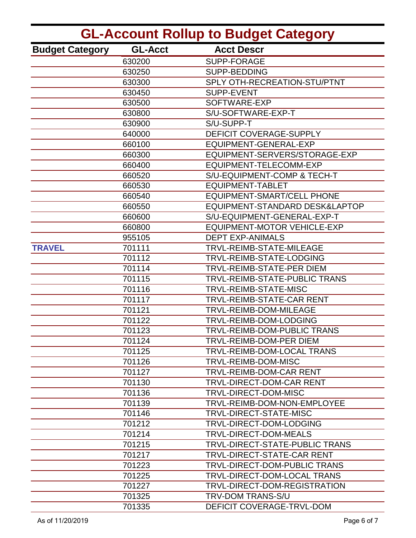| <b>GL-Account Rollup to Budget Category</b> |                |                                    |
|---------------------------------------------|----------------|------------------------------------|
| <b>Budget Category</b>                      | <b>GL-Acct</b> | <b>Acct Descr</b>                  |
|                                             | 630200         | <b>SUPP-FORAGE</b>                 |
|                                             | 630250         | SUPP-BEDDING                       |
|                                             | 630300         | SPLY OTH-RECREATION-STU/PTNT       |
|                                             | 630450         | <b>SUPP-EVENT</b>                  |
|                                             | 630500         | SOFTWARE-EXP                       |
|                                             | 630800         | S/U-SOFTWARE-EXP-T                 |
|                                             | 630900         | S/U-SUPP-T                         |
|                                             | 640000         | DEFICIT COVERAGE-SUPPLY            |
|                                             | 660100         | EQUIPMENT-GENERAL-EXP              |
|                                             | 660300         | EQUIPMENT-SERVERS/STORAGE-EXP      |
|                                             | 660400         | EQUIPMENT-TELECOMM-EXP             |
|                                             | 660520         | S/U-EQUIPMENT-COMP & TECH-T        |
|                                             | 660530         | <b>EQUIPMENT-TABLET</b>            |
|                                             | 660540         | <b>EQUIPMENT-SMART/CELL PHONE</b>  |
|                                             | 660550         | EQUIPMENT-STANDARD DESK&LAPTOP     |
|                                             | 660600         | S/U-EQUIPMENT-GENERAL-EXP-T        |
|                                             | 660800         | <b>EQUIPMENT-MOTOR VEHICLE-EXP</b> |
|                                             | 955105         | <b>DEPT EXP-ANIMALS</b>            |
| <b>TRAVEL</b>                               | 701111         | TRVL-REIMB-STATE-MILEAGE           |
|                                             | 701112         | TRVL-REIMB-STATE-LODGING           |
|                                             | 701114         | TRVL-REIMB-STATE-PER DIEM          |
|                                             | 701115         | TRVL-REIMB-STATE-PUBLIC TRANS      |
|                                             | 701116         | TRVL-REIMB-STATE-MISC              |
|                                             | 701117         | TRVL-REIMB-STATE-CAR RENT          |
|                                             | 701121         | TRVL-REIMB-DOM-MILEAGE             |
|                                             | 701122         | TRVL-REIMB-DOM-LODGING             |
|                                             | 701123         | TRVL-REIMB-DOM-PUBLIC TRANS        |
|                                             | 701124         | TRVL-REIMB-DOM-PER DIEM            |
|                                             | 701125         | <b>TRVL-REIMB-DOM-LOCAL TRANS</b>  |
|                                             | 701126         | TRVL-REIMB-DOM-MISC                |
|                                             | 701127         | <b>TRVL-REIMB-DOM-CAR RENT</b>     |
|                                             | 701130         | TRVL-DIRECT-DOM-CAR RENT           |
|                                             | 701136         | <b>TRVL-DIRECT-DOM-MISC</b>        |
|                                             | 701139         | TRVL-REIMB-DOM-NON-EMPLOYEE        |
|                                             | 701146         | TRVL-DIRECT-STATE-MISC             |
|                                             | 701212         | TRVL-DIRECT-DOM-LODGING            |
|                                             | 701214         | TRVL-DIRECT-DOM-MEALS              |
|                                             | 701215         | TRVL-DIRECT-STATE-PUBLIC TRANS     |
|                                             | 701217         | TRVL-DIRECT-STATE-CAR RENT         |
|                                             | 701223         | TRVL-DIRECT-DOM-PUBLIC TRANS       |
|                                             | 701225         | TRVL-DIRECT-DOM-LOCAL TRANS        |
|                                             | 701227         | TRVL-DIRECT-DOM-REGISTRATION       |
|                                             | 701325         | TRV-DOM TRANS-S/U                  |
|                                             | 701335         | DEFICIT COVERAGE-TRVL-DOM          |